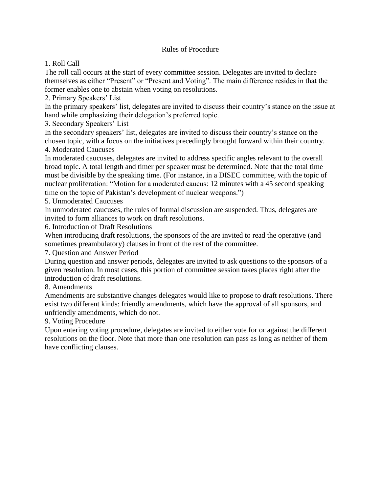## Rules of Procedure

1. Roll Call

The roll call occurs at the start of every committee session. Delegates are invited to declare themselves as either "Present" or "Present and Voting". The main difference resides in that the former enables one to abstain when voting on resolutions.

2. Primary Speakers' List

In the primary speakers' list, delegates are invited to discuss their country's stance on the issue at hand while emphasizing their delegation's preferred topic.

3. Secondary Speakers' List

In the secondary speakers' list, delegates are invited to discuss their country's stance on the chosen topic, with a focus on the initiatives precedingly brought forward within their country. 4. Moderated Caucuses

In moderated caucuses, delegates are invited to address specific angles relevant to the overall broad topic. A total length and timer per speaker must be determined. Note that the total time must be divisible by the speaking time. (For instance, in a DISEC committee, with the topic of nuclear proliferation: "Motion for a moderated caucus: 12 minutes with a 45 second speaking time on the topic of Pakistan's development of nuclear weapons.")

5. Unmoderated Caucuses

In unmoderated caucuses, the rules of formal discussion are suspended. Thus, delegates are invited to form alliances to work on draft resolutions.

6. Introduction of Draft Resolutions

When introducing draft resolutions, the sponsors of the are invited to read the operative (and sometimes preambulatory) clauses in front of the rest of the committee.

7. Question and Answer Period

During question and answer periods, delegates are invited to ask questions to the sponsors of a given resolution. In most cases, this portion of committee session takes places right after the introduction of draft resolutions.

8. Amendments

Amendments are substantive changes delegates would like to propose to draft resolutions. There exist two different kinds: friendly amendments, which have the approval of all sponsors, and unfriendly amendments, which do not.

9. Voting Procedure

Upon entering voting procedure, delegates are invited to either vote for or against the different resolutions on the floor. Note that more than one resolution can pass as long as neither of them have conflicting clauses.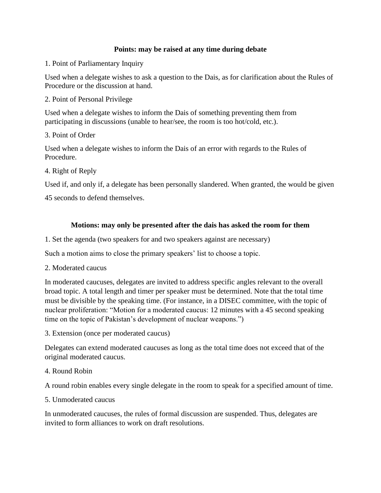## **Points: may be raised at any time during debate**

1. Point of Parliamentary Inquiry

Used when a delegate wishes to ask a question to the Dais, as for clarification about the Rules of Procedure or the discussion at hand.

2. Point of Personal Privilege

Used when a delegate wishes to inform the Dais of something preventing them from participating in discussions (unable to hear/see, the room is too hot/cold, etc.).

### 3. Point of Order

Used when a delegate wishes to inform the Dais of an error with regards to the Rules of Procedure.

### 4. Right of Reply

Used if, and only if, a delegate has been personally slandered. When granted, the would be given

45 seconds to defend themselves.

## **Motions: may only be presented after the dais has asked the room for them**

1. Set the agenda (two speakers for and two speakers against are necessary)

Such a motion aims to close the primary speakers' list to choose a topic.

2. Moderated caucus

In moderated caucuses, delegates are invited to address specific angles relevant to the overall broad topic. A total length and timer per speaker must be determined. Note that the total time must be divisible by the speaking time. (For instance, in a DISEC committee, with the topic of nuclear proliferation: "Motion for a moderated caucus: 12 minutes with a 45 second speaking time on the topic of Pakistan's development of nuclear weapons.")

3. Extension (once per moderated caucus)

Delegates can extend moderated caucuses as long as the total time does not exceed that of the original moderated caucus.

4. Round Robin

A round robin enables every single delegate in the room to speak for a specified amount of time.

5. Unmoderated caucus

In unmoderated caucuses, the rules of formal discussion are suspended. Thus, delegates are invited to form alliances to work on draft resolutions.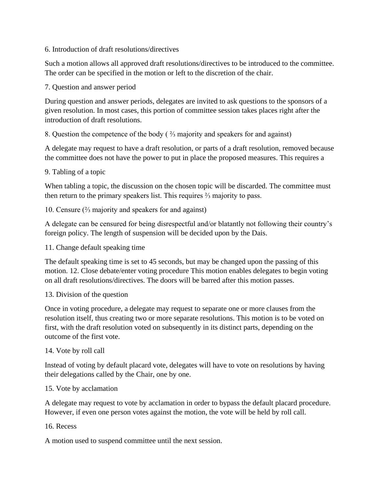6. Introduction of draft resolutions/directives

Such a motion allows all approved draft resolutions/directives to be introduced to the committee. The order can be specified in the motion or left to the discretion of the chair.

7. Question and answer period

During question and answer periods, delegates are invited to ask questions to the sponsors of a given resolution. In most cases, this portion of committee session takes places right after the introduction of draft resolutions.

8. Question the competence of the body ( ⅔ majority and speakers for and against)

A delegate may request to have a draft resolution, or parts of a draft resolution, removed because the committee does not have the power to put in place the proposed measures. This requires a

### 9. Tabling of a topic

When tabling a topic, the discussion on the chosen topic will be discarded. The committee must then return to the primary speakers list. This requires ⅔ majority to pass.

10. Censure (⅔ majority and speakers for and against)

A delegate can be censured for being disrespectful and/or blatantly not following their country's foreign policy. The length of suspension will be decided upon by the Dais.

11. Change default speaking time

The default speaking time is set to 45 seconds, but may be changed upon the passing of this motion. 12. Close debate/enter voting procedure This motion enables delegates to begin voting on all draft resolutions/directives. The doors will be barred after this motion passes.

#### 13. Division of the question

Once in voting procedure, a delegate may request to separate one or more clauses from the resolution itself, thus creating two or more separate resolutions. This motion is to be voted on first, with the draft resolution voted on subsequently in its distinct parts, depending on the outcome of the first vote.

## 14. Vote by roll call

Instead of voting by default placard vote, delegates will have to vote on resolutions by having their delegations called by the Chair, one by one.

#### 15. Vote by acclamation

A delegate may request to vote by acclamation in order to bypass the default placard procedure. However, if even one person votes against the motion, the vote will be held by roll call.

#### 16. Recess

A motion used to suspend committee until the next session.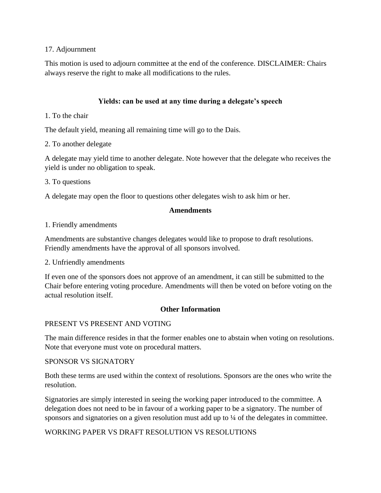### 17. Adjournment

This motion is used to adjourn committee at the end of the conference. DISCLAIMER: Chairs always reserve the right to make all modifications to the rules.

## **Yields: can be used at any time during a delegate's speech**

1. To the chair

The default yield, meaning all remaining time will go to the Dais.

2. To another delegate

A delegate may yield time to another delegate. Note however that the delegate who receives the yield is under no obligation to speak.

3. To questions

A delegate may open the floor to questions other delegates wish to ask him or her.

### **Amendments**

1. Friendly amendments

Amendments are substantive changes delegates would like to propose to draft resolutions. Friendly amendments have the approval of all sponsors involved.

#### 2. Unfriendly amendments

If even one of the sponsors does not approve of an amendment, it can still be submitted to the Chair before entering voting procedure. Amendments will then be voted on before voting on the actual resolution itself.

#### **Other Information**

## PRESENT VS PRESENT AND VOTING

The main difference resides in that the former enables one to abstain when voting on resolutions. Note that everyone must vote on procedural matters.

#### SPONSOR VS SIGNATORY

Both these terms are used within the context of resolutions. Sponsors are the ones who write the resolution.

Signatories are simply interested in seeing the working paper introduced to the committee. A delegation does not need to be in favour of a working paper to be a signatory. The number of sponsors and signatories on a given resolution must add up to  $\frac{1}{4}$  of the delegates in committee.

## WORKING PAPER VS DRAFT RESOLUTION VS RESOLUTIONS